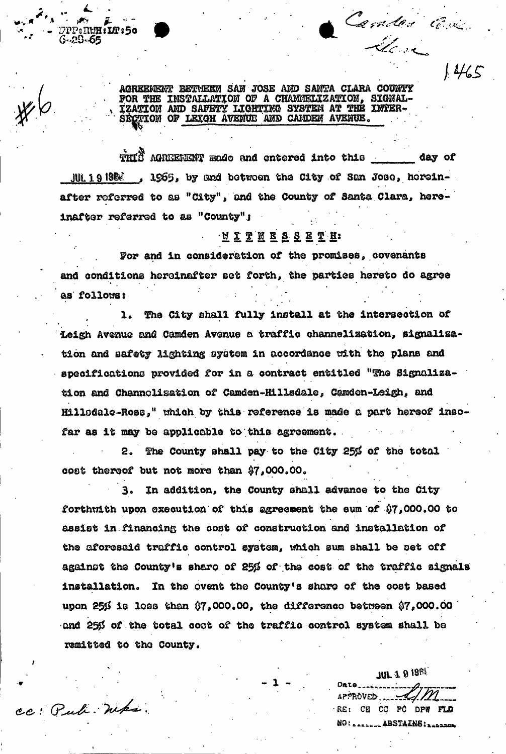AGREEMENT BETWEEN SAN JOSE AND SANTA CLARA COUNTY FOR THE INSTALLATION OF A CHANNELIZATION, SIGNAL-IZATION AND SAFETY LIGHTING SYSTEM AT THE INFER-CIION OF LEIGH AVENUE AND CAMDEN AVENUE.

**RUH:LA 150** 

3-29-65

cc: Pub. Whs.

THIS AGREEMENT made and entered into this \_\_\_\_\_\_\_ day of JUL19198%, 1965, by and between the City of San Jose, hereinafter referred to as "City", and the County of Santa Clara, hereinafter referred to as "County":

## <u>NITNESSETH</u>

For and in consideration of the promises, covenants and conditions hereinafter set forth, the parties hereto do agree as follows:

1. The City shall fully install at the intersection of Leigh Avenue and Camden Avenue a traffic channelization, signalization and safety lighting system in accordance with the plans and specifications provided for in a contract entitled "The Signalization and Channelisation of Camden-Hillsdale, Camdon-Leigh, and Hillsdale-Ross," which by this reference is made a part hereof insofar as it may be applicable to this agreement.

2. The County shall pay to the City 25% of the total cost thereof but not more than \$7,000.00.

3. In addition, the County shall advance to the City forthwith upon execution of this agreement the sum of \$7,000.00 to assist in financing the cost of construction and installation of the aforesaid traffic control system, which sum shall be set off against the County's share of 25% of the cost of the traffic signals installation. In the ovent the County's share of the cost based upon 25 $\beta$  is loss than  $\beta$ 7,000.00, the difference between  $\beta$ 7,000.00 and 25% of the total coot of the traffic control system shall be remitted to the County.

**JUL 1 9 1981**  $AP^{\circ}R$ <sup>OVED</sup> RE: CE CC PC DPW FLD NO: A ARABAL ABSTAINS: BARBARA

Camber Cre

 $1465$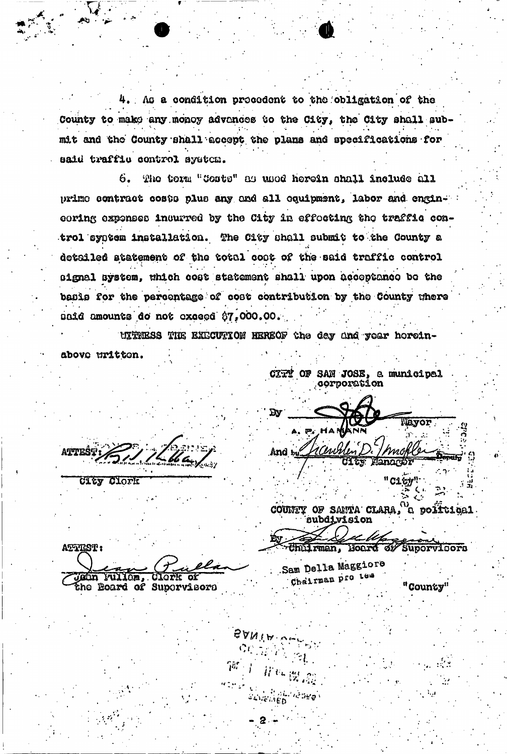4. As a condition precedent to the obligation of the County to make any money advences to the City, the City shall submit and the County shall accept the plans and specifications for said traffic control system.

The term "Costs" as used herein shall include all 6. prime contract costs plus any and all equipment, labor and engineoring expenses incurred by the City in effocting the traffic control syntem installation. The City shall submit to the County a detailed atatement of the total coat of the said traffic control signal system, which cost statement shall upon acceptance be the basis for the percentage of cost contribution by the County where unid amounts do not exceed \$7,000.00.

UITRESS THE EXECUTION HEREOF the day and year horeinabove uritten.

SANIA.

**ATTES** Cley Clork

AFTEST: Jeán Fullom, Clork of CITY OF SAN JOSE, a municipal **corporation** 

ΩV Tayor t Cewb

And by

COUNTY OF SANTA CLARA, a political **subdivision** 

Chiliman, Hoard of Supervisors

Sam Della Maggiore Chairman pro tem

"County"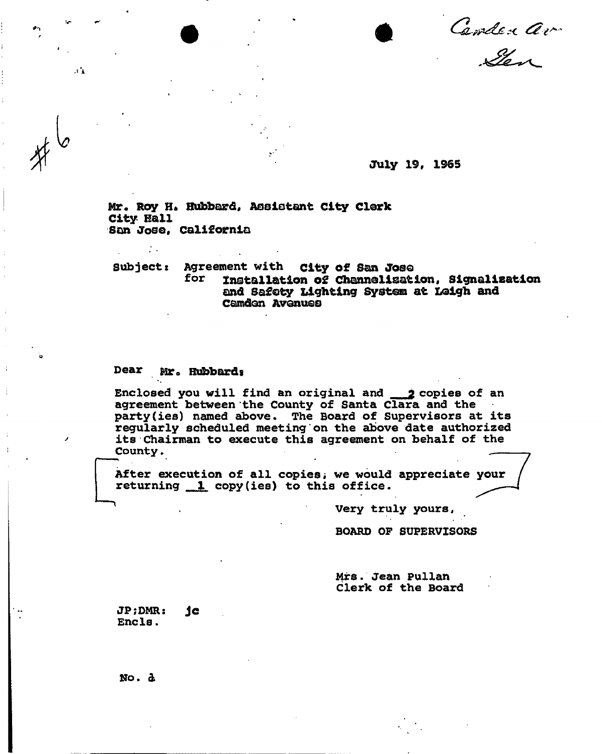Cember av

July 19, 1965

Mr. Roy H. Hubbard, Assistant City Clerk City Kail San Jose, California

**Subject: Agreement with** city of San Jose installation of Channelisation, Signalisation and Safety Lighting System at Leigh and Camden Avonuso

## **Dear Mr0 Hubbardg**

 $\mathcal{F}_{\mathcal{F}}$ 

 $\sim 1$ 

Enclosed you will find an original and 2 copies of an **agreement between the County of Santa Clara and the party(ies) named above. The Board of Supervisors at its regularly scheduled meeting on the above date authorized its Chairman to execute this agreement on behalf of the County.** 

After execution of all copies, we would appreciate your **returning copy(ies) to this office.** 

**<sup>1</sup> Very truly yours,** 

**BOARD OF SUPERVISORS** 

**Mrs. Jean Pullan Clerk of the Board** 

**JP;DMR: Jc**  Encls.

No. a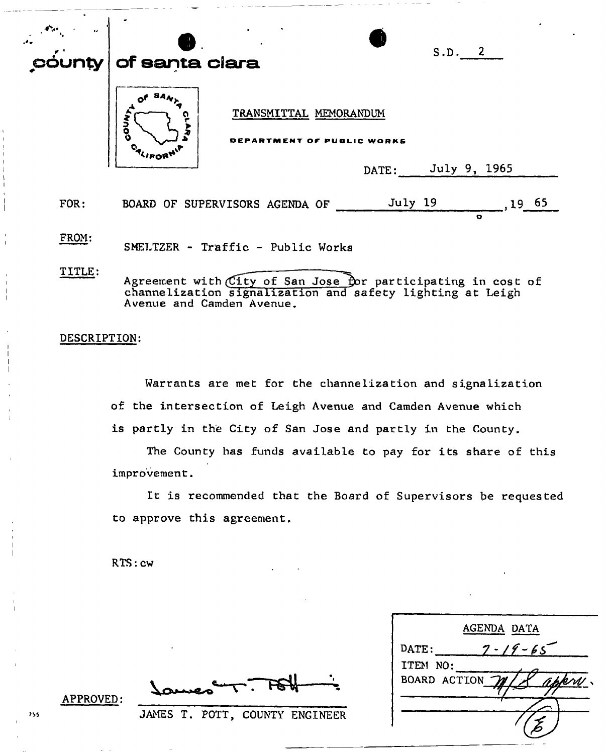| dunty ∣ | S.D. 2<br>of santa clara                                                                                                                               |
|---------|--------------------------------------------------------------------------------------------------------------------------------------------------------|
|         | TRANSMITTAL MEMORANDUM<br>ဂ္<br>Mnod<br>T OF PUBLIC WORKS<br>July 9, 1965<br>DATE:                                                                     |
|         |                                                                                                                                                        |
| FOR:    | July 19<br>19 65<br>BOARD OF SUPERVISORS AGENDA OF                                                                                                     |
| FROM:   | o<br>SMELTZER - Traffic - Public Works                                                                                                                 |
| TITLE:  | Agreement with City of San Jose for participating in cost of<br>channelization signalization and safety lighting at Leigh<br>Avenue and Camden Avenue. |

## **DESCRIPTION:**

**Warrants are met for the channelization and signalization of the intersection of Leigh Avenue and Camden Avenue which**  is partly in the City of San Jose and partly in the County.

**The County has funds available to pay for its share of this improvement.** 

**It is recommended that the Board of Supervisors be requested to approve this agreement.** 

**RTS: cw** 

FSUr

**JAMES T. POTT, COUNTY ENGINEER** 

| AGENDA DATA            |
|------------------------|
| $7 - 19 - 65$<br>DATE: |
| ITEM NO:               |
| BOARD ACTION<br>app    |
|                        |
|                        |
|                        |

**APPROVED:**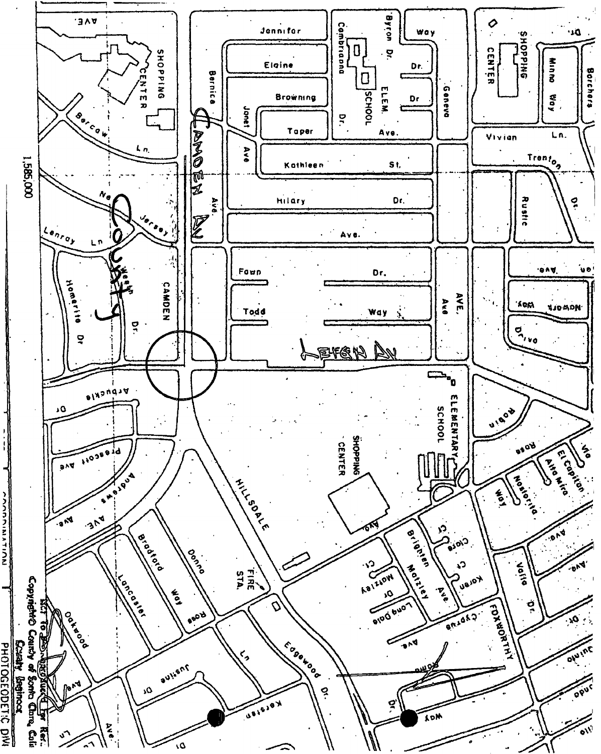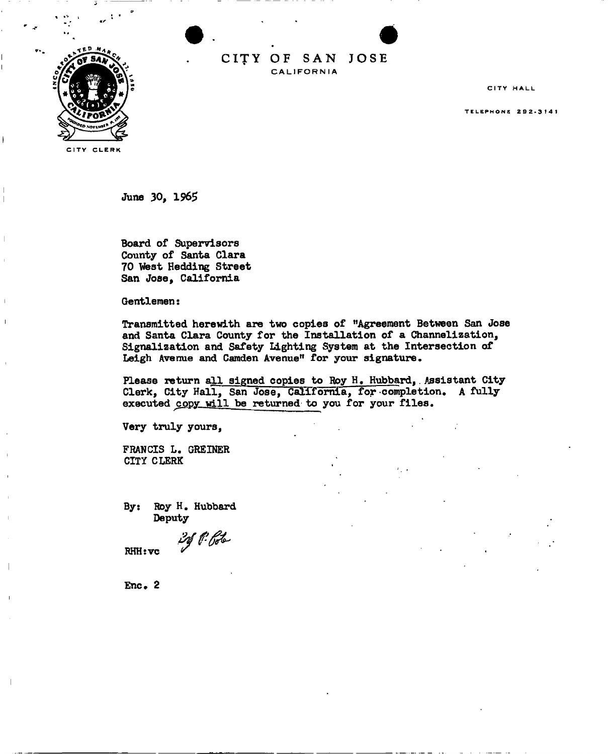

CITY OF SAN JOSE **CALIFORNIA** 

CITY HALL

**TELEPHONE 292-3141** 

CITY CLERK

June 30, 1965

Board of Supervisors County of Santa Clara 70 West Hedding Street San Jose, California

Gentlemen:

Transmitted herewith are two copies of "Agreement Between San Jose and Santa Clara County for the Installation of a Channelization, Signalization and Safety Lighting System at the Intersection of Leigh Avenue and Camden Avenue" for your signature.

Please return all signed copies to Roy H. Hubbard, Assistant City Clerk, City Hall, San Jose, California, for completion, A fully executed copy will be returned to you for your files.

Very truly yours,

FRANCIS L. GREINER CITY CLERK

By: Roy H. Hubbard Deputy

20 P. Pote

RHHtvc

Enc. 2